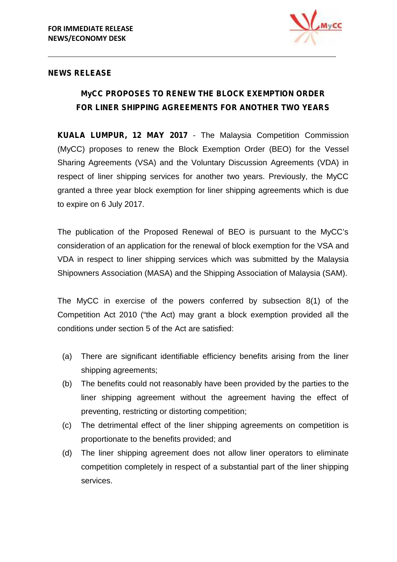

#### **NEWS RELEASE**

## **MyCC PROPOSES TO RENEW THE BLOCK EXEMPTION ORDER FOR LINER SHIPPING AGREEMENTS FOR ANOTHER TWO YEARS**

**KUALA LUMPUR, 12 MAY 2017** - The Malaysia Competition Commission (MyCC) proposes to renew the Block Exemption Order (BEO) for the Vessel Sharing Agreements (VSA) and the Voluntary Discussion Agreements (VDA) in respect of liner shipping services for another two years. Previously, the MyCC granted a three year block exemption for liner shipping agreements which is due to expire on 6 July 2017.

The publication of the Proposed Renewal of BEO is pursuant to the MyCC's consideration of an application for the renewal of block exemption for the VSA and VDA in respect to liner shipping services which was submitted by the Malaysia Shipowners Association (MASA) and the Shipping Association of Malaysia (SAM).

The MyCC in exercise of the powers conferred by subsection 8(1) of the Competition Act 2010 ("the Act) may grant a block exemption provided all the conditions under section 5 of the Act are satisfied:

- (a) There are significant identifiable efficiency benefits arising from the liner shipping agreements;
- (b) The benefits could not reasonably have been provided by the parties to the liner shipping agreement without the agreement having the effect of preventing, restricting or distorting competition;
- (c) The detrimental effect of the liner shipping agreements on competition is proportionate to the benefits provided; and
- (d) The liner shipping agreement does not allow liner operators to eliminate competition completely in respect of a substantial part of the liner shipping services.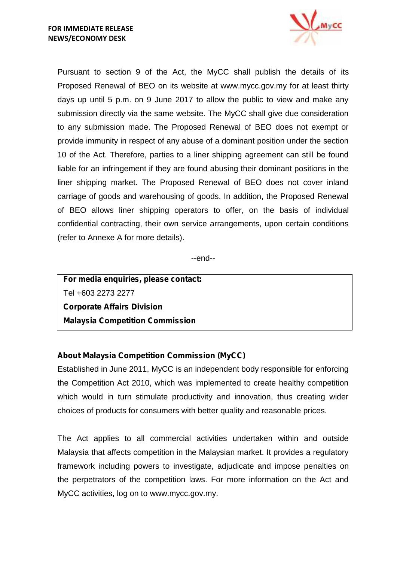

Pursuant to section 9 of the Act, the MyCC shall publish the details of its Proposed Renewal of BEO on its website at www.mycc.gov.my for at least thirty days up until 5 p.m. on 9 June 2017 to allow the public to view and make any submission directly via the same website. The MyCC shall give due consideration to any submission made. The Proposed Renewal of BEO does not exempt or provide immunity in respect of any abuse of a dominant position under the section 10 of the Act. Therefore, parties to a liner shipping agreement can still be found liable for an infringement if they are found abusing their dominant positions in the liner shipping market. The Proposed Renewal of BEO does not cover inland carriage of goods and warehousing of goods. In addition, the Proposed Renewal of BEO allows liner shipping operators to offer, on the basis of individual confidential contracting, their own service arrangements, upon certain conditions (refer to Annexe A for more details).

--end--

**For media enquiries, please contact:** Tel +603 2273 2277 **Corporate Affairs Division Malaysia Competition Commission**

## **About Malaysia Competition Commission (MyCC)**

Established in June 2011, MyCC is an independent body responsible for enforcing the Competition Act 2010, which was implemented to create healthy competition which would in turn stimulate productivity and innovation, thus creating wider choices of products for consumers with better quality and reasonable prices.

The Act applies to all commercial activities undertaken within and outside Malaysia that affects competition in the Malaysian market. It provides a regulatory framework including powers to investigate, adjudicate and impose penalties on the perpetrators of the competition laws. For more information on the Act and MyCC activities, log on to www.mycc.gov.my.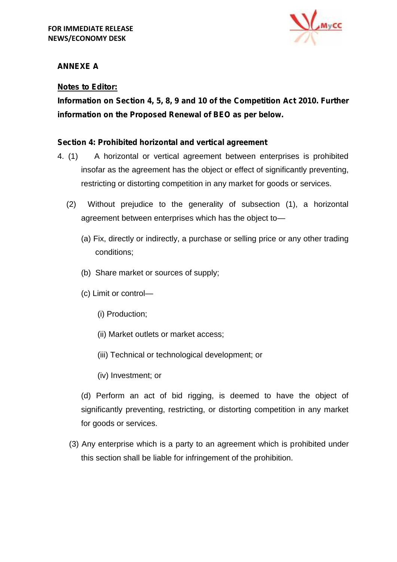

## **ANNEXE A**

## **Notes to Editor:**

**Information on Section 4, 5, 8, 9 and 10 of the Competition Act 2010. Further information on the Proposed Renewal of BEO as per below.**

#### *Section 4: Prohibited horizontal and vertical agreement*

- 4. (1) A horizontal or vertical agreement between enterprises is prohibited insofar as the agreement has the object or effect of significantly preventing, restricting or distorting competition in any market for goods or services.
	- (2) Without prejudice to the generality of subsection (1), a horizontal agreement between enterprises which has the object to—
		- (a) Fix, directly or indirectly, a purchase or selling price or any other trading conditions;
		- (b) Share market or sources of supply;
		- (c) Limit or control—
			- (i) Production;
			- (ii) Market outlets or market access;
			- (iii) Technical or technological development; or
			- (iv) Investment; or

(d) Perform an act of bid rigging, is deemed to have the object of significantly preventing, restricting, or distorting competition in any market for goods or services.

(3) Any enterprise which is a party to an agreement which is prohibited under this section shall be liable for infringement of the prohibition.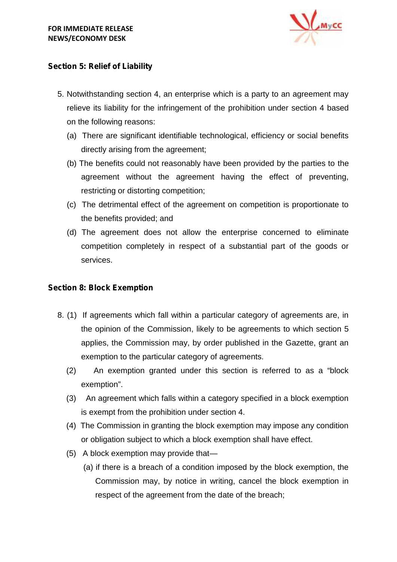

## *Section 5: Relief of Liability*

- 5. Notwithstanding section 4, an enterprise which is a party to an agreement may relieve its liability for the infringement of the prohibition under section 4 based on the following reasons:
	- (a) There are significant identifiable technological, efficiency or social benefits directly arising from the agreement;
	- (b) The benefits could not reasonably have been provided by the parties to the agreement without the agreement having the effect of preventing, restricting or distorting competition;
	- (c) The detrimental effect of the agreement on competition is proportionate to the benefits provided; and
	- (d) The agreement does not allow the enterprise concerned to eliminate competition completely in respect of a substantial part of the goods or services.

## *Section 8: Block Exemption*

- 8. (1) If agreements which fall within a particular category of agreements are, in the opinion of the Commission, likely to be agreements to which section 5 applies, the Commission may, by order published in the Gazette, grant an exemption to the particular category of agreements.
	- (2) An exemption granted under this section is referred to as a "block exemption".
	- (3) An agreement which falls within a category specified in a block exemption is exempt from the prohibition under section 4.
	- (4) The Commission in granting the block exemption may impose any condition or obligation subject to which a block exemption shall have effect.
	- (5) A block exemption may provide that—
		- (a) if there is a breach of a condition imposed by the block exemption, the Commission may, by notice in writing, cancel the block exemption in respect of the agreement from the date of the breach;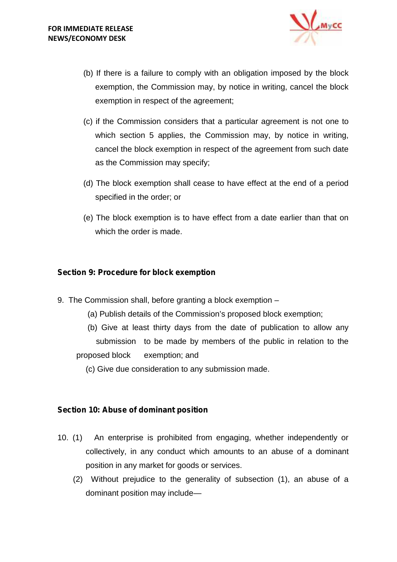

- (b) If there is a failure to comply with an obligation imposed by the block exemption, the Commission may, by notice in writing, cancel the block exemption in respect of the agreement;
- (c) if the Commission considers that a particular agreement is not one to which section 5 applies, the Commission may, by notice in writing, cancel the block exemption in respect of the agreement from such date as the Commission may specify;
- (d) The block exemption shall cease to have effect at the end of a period specified in the order; or
- (e) The block exemption is to have effect from a date earlier than that on which the order is made.

#### *Section 9: Procedure for block exemption*

- 9. The Commission shall, before granting a block exemption
	- (a) Publish details of the Commission's proposed block exemption;
	- (b) Give at least thirty days from the date of publication to allow any submission to be made by members of the public in relation to the proposed block exemption; and
		- (c) Give due consideration to any submission made.

#### *Section 10: Abuse of dominant position*

- 10. (1) An enterprise is prohibited from engaging, whether independently or collectively, in any conduct which amounts to an abuse of a dominant position in any market for goods or services.
	- (2) Without prejudice to the generality of subsection (1), an abuse of a dominant position may include—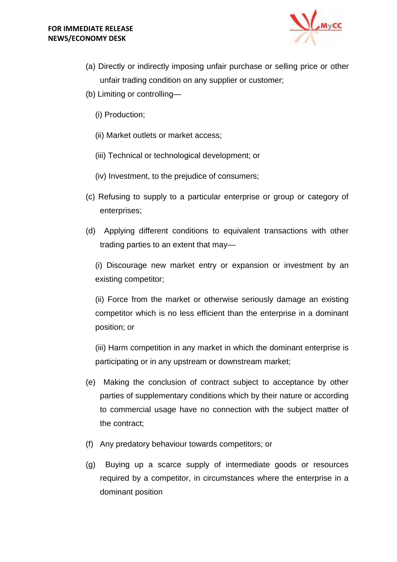

- (a) Directly or indirectly imposing unfair purchase or selling price or other unfair trading condition on any supplier or customer;
- (b) Limiting or controlling—
	- (i) Production;
	- (ii) Market outlets or market access;
	- (iii) Technical or technological development; or
	- (iv) Investment, to the prejudice of consumers;
- (c) Refusing to supply to a particular enterprise or group or category of enterprises;
- (d) Applying different conditions to equivalent transactions with other trading parties to an extent that may—

(i) Discourage new market entry or expansion or investment by an existing competitor;

(ii) Force from the market or otherwise seriously damage an existing competitor which is no less efficient than the enterprise in a dominant position; or

(iii) Harm competition in any market in which the dominant enterprise is participating or in any upstream or downstream market;

- (e) Making the conclusion of contract subject to acceptance by other parties of supplementary conditions which by their nature or according to commercial usage have no connection with the subject matter of the contract;
- (f) Any predatory behaviour towards competitors; or
- (g) Buying up a scarce supply of intermediate goods or resources required by a competitor, in circumstances where the enterprise in a dominant position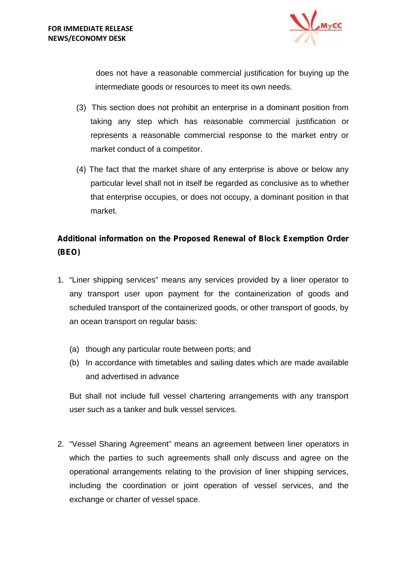

does not have a reasonable commercial justification for buying up the intermediate goods or resources to meet its own needs.

- (3) This section does not prohibit an enterprise in a dominant position from taking any step which has reasonable commercial justification or represents a reasonable commercial response to the market entry or market conduct of a competitor.
- (4) The fact that the market share of any enterprise is above or below any particular level shall not in itself be regarded as conclusive as to whether that enterprise occupies, or does not occupy, a dominant position in that market.

# **Additional information on the Proposed Renewal of Block Exemption Order (BEO)**

- 1. "Liner shipping services" means any services provided by a liner operator to any transport user upon payment for the containerization of goods and scheduled transport of the containerized goods, or other transport of goods, by an ocean transport on regular basis:
	- (a) though any particular route between ports; and
	- (b) In accordance with timetables and sailing dates which are made available and advertised in advance

But shall not include full vessel chartering arrangements with any transport user such as a tanker and bulk vessel services.

2. "Vessel Sharing Agreement" means an agreement between liner operators in which the parties to such agreements shall only discuss and agree on the operational arrangements relating to the provision of liner shipping services, including the coordination or joint operation of vessel services, and the exchange or charter of vessel space.